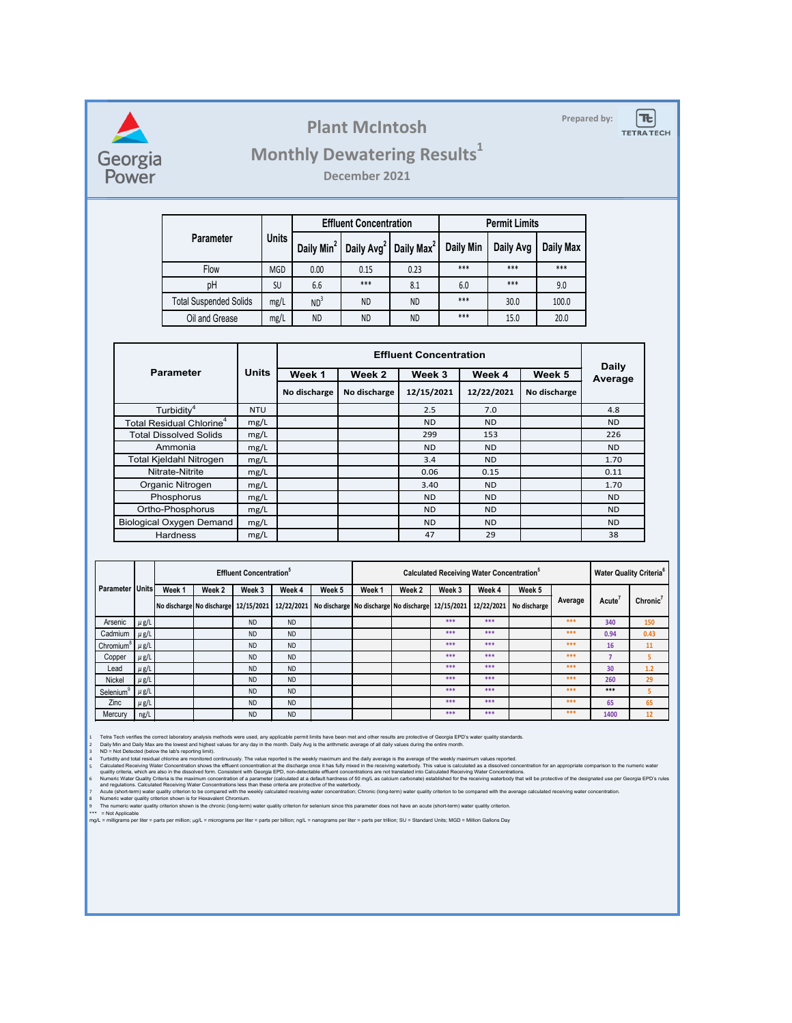

### **Plant McIntosh** Prepared by:

 $|\bm{\pi}|$ **TETRATECH** 

# **Monthly Dewatering Results<sup>1</sup>**

**December 2021**

|                               |              |                        | <b>Effluent Concentration</b> |                        | <b>Permit Limits</b> |           |           |  |
|-------------------------------|--------------|------------------------|-------------------------------|------------------------|----------------------|-----------|-----------|--|
| <b>Parameter</b>              | <b>Units</b> | Daily Min <sup>2</sup> | Daily Avg <sup>2</sup>        | Daily Max <sup>2</sup> | <b>Daily Min</b>     | Daily Avg | Daily Max |  |
| Flow                          | <b>MGD</b>   | 0.00                   | 0.15                          | 0.23                   | ***                  | ***       | ***       |  |
| pH                            | SU           | 6.6                    | ***                           | 8.1                    | 6.0                  | ***       | 9.0       |  |
| <b>Total Suspended Solids</b> | mg/L         | ND <sup>3</sup>        | <b>ND</b>                     | <b>ND</b>              | ***                  | 30.0      | 100.0     |  |
| Oil and Grease<br>mg/L        |              | <b>ND</b>              | <b>ND</b>                     | <b>ND</b>              | ***                  | 15.0      | 20.0      |  |

|                                      |              |              | <b>Daily</b> |            |            |              |                |
|--------------------------------------|--------------|--------------|--------------|------------|------------|--------------|----------------|
| <b>Parameter</b>                     | <b>Units</b> | Week 1       | Week 2       | Week 3     | Week 4     | Week 5       | <b>Average</b> |
|                                      |              | No discharge | No discharge | 12/15/2021 | 12/22/2021 | No discharge |                |
| Turbidity <sup>4</sup>               | <b>NTU</b>   |              |              | 2.5        | 7.0        |              | 4.8            |
| Total Residual Chlorine <sup>4</sup> | mg/L         |              |              | ND.        | ND.        |              | <b>ND</b>      |
| <b>Total Dissolved Solids</b>        | mg/L         |              |              | 299        | 153        |              | 226            |
| Ammonia                              | mg/L         |              |              | ND.        | <b>ND</b>  |              | <b>ND</b>      |
| Total Kjeldahl Nitrogen              | mg/L         |              |              | 3.4        | ND.        |              | 1.70           |
| Nitrate-Nitrite                      | mg/L         |              |              | 0.06       | 0.15       |              | 0.11           |
| Organic Nitrogen                     | mg/L         |              |              | 3.40       | ND.        |              | 1.70           |
| Phosphorus                           | mg/L         |              |              | ND.        | ND.        |              | ND.            |
| Ortho-Phosphorus                     | mg/L         |              |              | ND.        | <b>ND</b>  |              | <b>ND</b>      |
| <b>Biological Oxygen Demand</b>      | mg/L         |              |              | ND.        | ND.        |              | ND.            |
| <b>Hardness</b>                      | mg/L         |              |              | 47         | 29         |              | 38             |

|                       |           | <b>Effluent Concentration</b> <sup>°</sup> |                                      |           |           |                                                                      | <b>Calculated Receiving Water Concentration</b> <sup>5</sup> |        |        |        |                           | <b>Water Quality Criteria</b> <sup>6</sup> |                    |           |
|-----------------------|-----------|--------------------------------------------|--------------------------------------|-----------|-----------|----------------------------------------------------------------------|--------------------------------------------------------------|--------|--------|--------|---------------------------|--------------------------------------------|--------------------|-----------|
| <b>Parameter</b>      | Units     | Week 1                                     | Week 2                               | Week 3    | Week 4    | Week 5                                                               | Week 1                                                       | Week 2 | Week 3 | Week 4 | Week 5                    | Average                                    |                    |           |
|                       |           |                                            | No discharge No discharge 12/15/2021 |           |           | 12/22/2021   No discharge   No discharge   No discharge   12/15/2021 |                                                              |        |        |        | 12/22/2021   No discharge |                                            | Acute <sup>®</sup> | Chronic'  |
| Arsenic               | $\mu$ g/L |                                            |                                      | <b>ND</b> | <b>ND</b> |                                                                      |                                                              |        | $***$  | ***    |                           | ***                                        | 340                | 150       |
| Cadmium               | $\mu$ g/L |                                            |                                      | <b>ND</b> | <b>ND</b> |                                                                      |                                                              |        | ***    | ***    |                           | ***                                        | 0.94               | 0.43      |
| Chromium <sup>8</sup> | $\mu$ g/L |                                            |                                      | <b>ND</b> | <b>ND</b> |                                                                      |                                                              |        | ***    | ***    |                           | ***                                        | 16                 | <b>11</b> |
| Copper                | $\mu$ g/L |                                            |                                      | <b>ND</b> | <b>ND</b> |                                                                      |                                                              |        | ***    | ***    |                           | ***                                        |                    | 5.        |
| Lead                  | $\mu$ g/L |                                            |                                      | <b>ND</b> | <b>ND</b> |                                                                      |                                                              |        | ***    | ***    |                           | ***                                        | 30                 | 1.2       |
| <b>Nickel</b>         | $\mu$ g/L |                                            |                                      | <b>ND</b> | <b>ND</b> |                                                                      |                                                              |        | ***    | ***    |                           | ***                                        | 260                | 29        |
| Selenium              | $\mu$ g/L |                                            |                                      | <b>ND</b> | <b>ND</b> |                                                                      |                                                              |        | $***$  | $***$  |                           | ***                                        | ***                | 5.        |
| <b>Zinc</b>           | $\mu$ g/L |                                            |                                      | <b>ND</b> | <b>ND</b> |                                                                      |                                                              |        | ***    | ***    |                           | ***                                        | 65                 | 65        |
| Mercury               | ng/L      |                                            |                                      | <b>ND</b> | <b>ND</b> |                                                                      |                                                              |        | ***    | ***    |                           | ***                                        | 1400               | 12        |

1 Tetra Tech verifies the correct laboratory analysis methods were used, any applicable permit limits have been met and other results are protective of Georgia EPD's water quality standards.

Daily Min and Daily Max are the lowest and highest values for any day in the month. Daily Avg is the arithmetic average of all daily values during the entire month.<br>ND = Not Detected (below the lab's reporting limit).

2 Daily Min and Daily Max are the lowest and highest values for any day in the month. Daily Avg is the arithmetic average of all daily values during the entire month.<br>3 ND = Not Detected (below the lab's reporting limit).<br>

Calculated Receiving Water Concentration shows the effluent concentration at the discharge once it has fully mixed in the receiving waterbody. This value is calculated as a dissolved concentration for an appropriate compar

Numeric Water Quality Criteria is the maximum concentration of a parameter (calculated at a default hardness of 50 mg/L as calcium carbonate) established for the receiving waterbody that will be protective of the designate

8 Numeric water quality criterion shown is for Hexavalent Chromium.<br>9 The numeric water quality criterion shown is the chronic (long-term) water quality criterion for selenium since this parameter does not have an acu Numeric water quality criterion shown is for Hexavalent Chromium.<br>The numeric water quality criterion shown is the chronic (long-term) water quality criterion for selenium since this parameter does not have an acute (short

6 7